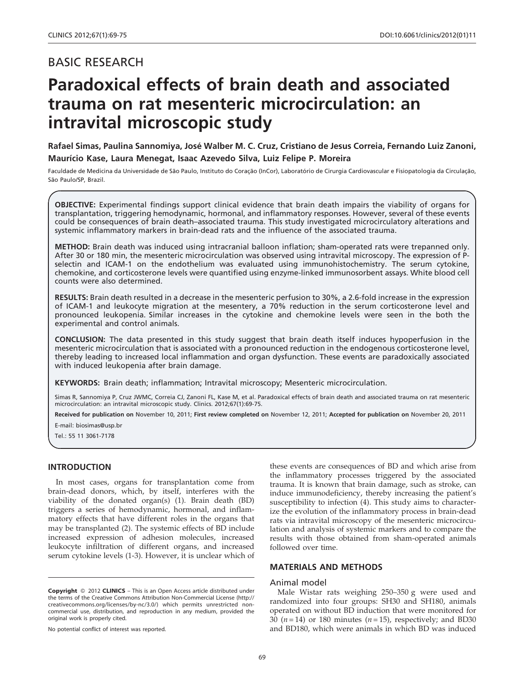# Paradoxical effects of brain death and associated trauma on rat mesenteric microcirculation: an intravital microscopic study

Rafael Simas, Paulina Sannomiya, José Walber M. C. Cruz, Cristiano de Jesus Correia, Fernando Luiz Zanoni, Maurı´cio Kase, Laura Menegat, Isaac Azevedo Silva, Luiz Felipe P. Moreira

Faculdade de Medicina da Universidade de São Paulo, Instituto do Coração (InCor), Laboratório de Cirurgia Cardiovascular e Fisiopatologia da Circulação, São Paulo/SP, Brazil.

OBJECTIVE: Experimental findings support clinical evidence that brain death impairs the viability of organs for transplantation, triggering hemodynamic, hormonal, and inflammatory responses. However, several of these events could be consequences of brain death–associated trauma. This study investigated microcirculatory alterations and systemic inflammatory markers in brain-dead rats and the influence of the associated trauma.

METHOD: Brain death was induced using intracranial balloon inflation; sham-operated rats were trepanned only. After 30 or 180 min, the mesenteric microcirculation was observed using intravital microscopy. The expression of Pselectin and ICAM-1 on the endothelium was evaluated using immunohistochemistry. The serum cytokine, chemokine, and corticosterone levels were quantified using enzyme-linked immunosorbent assays. White blood cell counts were also determined.

RESULTS: Brain death resulted in a decrease in the mesenteric perfusion to 30%, a 2.6-fold increase in the expression of ICAM-1 and leukocyte migration at the mesentery, a 70% reduction in the serum corticosterone level and pronounced leukopenia. Similar increases in the cytokine and chemokine levels were seen in the both the experimental and control animals.

CONCLUSION: The data presented in this study suggest that brain death itself induces hypoperfusion in the mesenteric microcirculation that is associated with a pronounced reduction in the endogenous corticosterone level, thereby leading to increased local inflammation and organ dysfunction. These events are paradoxically associated with induced leukopenia after brain damage.

KEYWORDS: Brain death; inflammation; Intravital microscopy; Mesenteric microcirculation.

Simas R, Sannomiya P, Cruz JWMC, Correia CJ, Zanoni FL, Kase M, et al. Paradoxical effects of brain death and associated trauma on rat mesenteric microcirculation: an intravital microscopic study. Clinics. 2012;67(1):69-75.

Received for publication on November 10, 2011; First review completed on November 12, 2011; Accepted for publication on November 20, 2011

E-mail: biosimas@usp.br

Tel.: 55 11 3061-7178

# INTRODUCTION

In m[ost cases, organs for transplantation come from](#page-6-0) brain-de[ad donors, which, by itself, interferes with the](#page-6-0) viability [of the donated organ\(s\) \(1\). Brain death \(BD\)](#page-6-0) triggers [a](#page-6-0) [series](#page-6-0) [of](#page-6-0) [hemodynamic,](#page-6-0) [hormonal,](#page-6-0) [and](#page-6-0) [inflam](#page-6-0)matory [effects that have different roles in the organs that](#page-6-0) may be [transplanted \(2\). The systemic effects of BD include](#page-6-0) increased expression of adhesion molecules, increased leukocyte infiltration of different organs, and increased serum cytokine levels (1-3). However, it is unclear which of

No potential conflict of interest was reported.

[these](#page-6-0) ev[ents](#page-6-0) [are](#page-6-0) [consequences](#page-6-0) [of](#page-6-0) [BD](#page-6-0) [and](#page-6-0) [which](#page-6-0) [arise](#page-6-0) [from](#page-6-0) the infl[ammatory](#page-6-0) [processes](#page-6-0) [triggered](#page-6-0) [by](#page-6-0) [the](#page-6-0) [associated](#page-6-0) trauma. [It](#page-6-0) [is](#page-6-0) [known](#page-6-0) [that](#page-6-0) [brain](#page-6-0) [damage,](#page-6-0) [such](#page-6-0) [as](#page-6-0) [stroke,](#page-6-0) [can](#page-6-0) induce i[mmunodeficiency,](#page-6-0) [thereby](#page-6-0) [increasing](#page-6-0) [the](#page-6-0) [patient's](#page-6-0) suscepti[bility](#page-6-0) [to](#page-6-0) [infection](#page-6-0) [\(4\).](#page-6-0) [This](#page-6-0) [study](#page-6-0) [aims](#page-6-0) [to](#page-6-0) [character](#page-6-0)ize the e[volution](#page-6-0) [of](#page-6-0) [the](#page-6-0) [inflammatory](#page-6-0) [process](#page-6-0) [in](#page-6-0) [brain-dead](#page-6-0) rats via [intravital](#page-6-0) [microscop](#page-6-0)y of the mesenteric microcirculation and analysis of systemic markers and to compare the results with those obtained from sham-operated animals followed over time.

# MATERIALS AND METHODS

## Animal model

Male Wistar rats weighing 250–350 g were used and randomized into four groups: SH30 and SH180, animals operated on without BD induction that were monitored for  $30 (n = 14)$  or 180 minutes  $(n = 15)$ , respectively; and BD30 and BD180, which were animals in which BD was induced

Copyright © 2012 CLINICS - This is an Open Access article distributed under the terms of the Creative Commons Attribution Non-Commercial License (http:// creativecommons.org/licenses/by-nc/3.0/) which permits unrestricted noncommercial use, distribution, and reproduction in any medium, provided the original work is properly cited.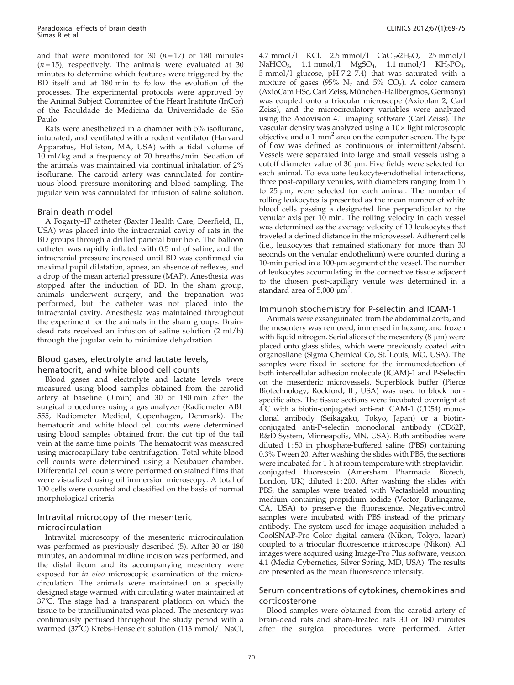and that were monitored for 30  $(n=17)$  or 180 minutes  $(n=15)$ , respectively. The animals were evaluated at 30 minutes to determine which features were triggered by the BD itself and at 180 min to follow the evolution of the processes. The experimental protocols were approved by the Animal Subject Committee of the Heart Institute (InCor) of the Faculdade de Medicina da Universidade de São Paulo.

Rats were anesthetized in a chamber with 5% isoflurane, intubated, and ventilated with a rodent ventilator (Harvard Apparatus, Holliston, MA, USA) with a tidal volume of 10 ml/kg and a frequency of 70 breaths/min. Sedation of the animals was maintained via continual inhalation of 2% isoflurane. The carotid artery was cannulated for continuous blood pressure monitoring and blood sampling. The jugular vein was cannulated for infusion of saline solution.

## Brain death model

A Fogarty-4F catheter (Baxter Health Care, Deerfield, IL, USA) was placed into the intracranial cavity of rats in the BD groups through a drilled parietal burr hole. The balloon catheter was rapidly inflated with 0.5 ml of saline, and the intracranial pressure increased until BD was confirmed via maximal pupil dilatation, apnea, an absence of reflexes, and a drop of the mean arterial pressure (MAP). Anesthesia was stopped after the induction of BD. In the sham group, animals underwent surgery, and the trepanation was performed, but the catheter was not placed into the intracranial cavity. Anesthesia was maintained throughout the experiment for the animals in the sham groups. Braindead rats received an infusion of saline solution (2 ml/h) through the jugular vein to minimize dehydration.

# Blood gases, electrolyte and lactate levels, hematocrit, and white blood cell counts

Blood gases and electrolyte and lactate levels were measured using blood samples obtained from the carotid artery at baseline (0 min) and 30 or 180 min after the surgical procedures using a gas analyzer (Radiometer ABL 555, Radiometer Medical, Copenhagen, Denmark). The hematocrit and white blood cell counts were determined using blood samples obtained from the cut tip of the tail vein at the same time points. The hematocrit was measured using microcapillary tube centrifugation. Total white blood cell counts were determined using a Neubauer chamber. Differential cell counts were performed on stained films that were visualized using oil immersion microscopy. A total of 100 cells were counted and classified on the basis of normal morphological criteria.

# Intravital microcopy of the mesenteric microci[rculation](#page-6-0)

Intrav[ital](#page-6-0) [microscopy](#page-6-0) [of](#page-6-0) [the](#page-6-0) [mesenteric](#page-6-0) [microcirculation](#page-6-0) was per[formed as previously described \(5\). After 30 or 180](#page-6-0) minutes, [an](#page-6-0) [abdominal](#page-6-0) [midline](#page-6-0) [incision](#page-6-0) [was](#page-6-0) [performed,](#page-6-0) [and](#page-6-0) the dist[al ileum and its accompanying mesentery were](#page-6-0) exposed [for](#page-6-0) in vivo [microscopic](#page-6-0) [examination](#page-6-0) [of](#page-6-0) [the](#page-6-0) [micro](#page-6-0)circulati[on.](#page-6-0) [The](#page-6-0) [animals](#page-6-0) [were](#page-6-0) [maintained](#page-6-0) [on](#page-6-0) [a](#page-6-0) [specially](#page-6-0) designe[d stage warmed with circulating water maintained at](#page-6-0) 37˚C. T[he](#page-6-0) [stage](#page-6-0) [had](#page-6-0) [a](#page-6-0) [transparent](#page-6-0) [platform](#page-6-0) [on](#page-6-0) [which](#page-6-0) [the](#page-6-0) tissue to be transilluminated was placed. The mesentery was continuously perfused throughout the study period with a warmed (37˚C) Krebs-Henseleit solution (113 mmol/l NaCl,

4.7 mmol/l KCl, 2.5 mmol/l  $CaCl<sub>2</sub>•2H<sub>2</sub>O$ , 25 mmol/l NaHCO<sub>3</sub>, [1.1](#page-6-0) [mmol/l](#page-6-0) MgSO<sub>4</sub>, 1.1 mmol/l KH<sub>2</sub>PO<sub>4</sub>, 5 mmol[/l](#page-6-0) [glucose,](#page-6-0) [pH](#page-6-0) [7.2–7.4\)](#page-6-0) [that](#page-6-0) [was](#page-6-0) [saturated](#page-6-0) [with](#page-6-0) [a](#page-6-0) mixture of gases ( $95\%$  N<sub>2</sub> [and](#page-6-0)  $5\%$  CO<sub>2</sub>). [A](#page-6-0) [color](#page-6-0) [camera](#page-6-0) (AxioCa[m](#page-6-0) [HSc,](#page-6-0) [Carl](#page-6-0) [Zeiss,](#page-6-0) München-Hallbergmos, [Germany\)](#page-6-0) was cou[pled](#page-6-0) [onto](#page-6-0) [a](#page-6-0) [triocular](#page-6-0) [microscope](#page-6-0) [\(Axioplan](#page-6-0) [2,](#page-6-0) [Carl](#page-6-0) Zeiss), [and](#page-6-0) [the](#page-6-0) [microcirculatory](#page-6-0) [variables](#page-6-0) [were](#page-6-0) [analyzed](#page-6-0) using th[e](#page-6-0) [Axiovision](#page-6-0) [4.1](#page-6-0) [imaging](#page-6-0) [software](#page-6-0) [\(Carl](#page-6-0) [Zeiss\).](#page-6-0) [The](#page-6-0) vascular [density](#page-6-0) [was](#page-6-0) [analyzed](#page-6-0) [using](#page-6-0) [a](#page-6-0)  $10\times$  $10\times$  light microscopic objective and a  $1 \text{ mm}^2$  [area](#page-6-0) [on](#page-6-0) [the](#page-6-0) [computer](#page-6-0) [screen.](#page-6-0) [The](#page-6-0) [type](#page-6-0) of flow [was](#page-6-0) [defined](#page-6-0) [as](#page-6-0) [continuous](#page-6-0) [or](#page-6-0) [intermittent/absent.](#page-6-0) Vessels [were separated into large and small vessels using a](#page-6-0) cutoff diameter value of 30 µ[m.](#page-6-0) [Five](#page-6-0) [fields](#page-6-0) [were](#page-6-0) [selected](#page-6-0) [for](#page-6-0) each ani[mal. To evaluate leukocyte-endothelial interactions,](#page-6-0) three po[st-capillary](#page-6-0) [venules,](#page-6-0) [with](#page-6-0) [diameters](#page-6-0) [ranging](#page-6-0) [from](#page-6-0) [15](#page-6-0) to 25 µ[m,](#page-6-0) [were](#page-6-0) [selected](#page-6-0) [for](#page-6-0) [each](#page-6-0) [animal.](#page-6-0) [The](#page-6-0) [number](#page-6-0) [of](#page-6-0) rolling l[eukocytes](#page-6-0) [is](#page-6-0) [presented](#page-6-0) [as](#page-6-0) [the](#page-6-0) [mean](#page-6-0) [number](#page-6-0) [of](#page-6-0) [white](#page-6-0) blood c[ells](#page-6-0) [passing](#page-6-0) [a](#page-6-0) [designated](#page-6-0) [line](#page-6-0) [perpendicular](#page-6-0) [to](#page-6-0) [the](#page-6-0) venular [axis](#page-6-0) [per](#page-6-0) [10](#page-6-0) [min.](#page-6-0) [The](#page-6-0) [rolling](#page-6-0) [velocity](#page-6-0) [in](#page-6-0) [each](#page-6-0) [vessel](#page-6-0) was det[ermined](#page-6-0) [as](#page-6-0) [the](#page-6-0) [average](#page-6-0) [velocity](#page-6-0) [of](#page-6-0) [10](#page-6-0) [leukocytes](#page-6-0) [that](#page-6-0) traveled [a](#page-6-0) [defined](#page-6-0) [distance](#page-6-0) [in](#page-6-0) [the](#page-6-0) [microvessel.](#page-6-0) [Adherent](#page-6-0) [cells](#page-6-0) (i.e., leu[kocytes](#page-6-0) [that](#page-6-0) [remained](#page-6-0) [stationary](#page-6-0) [for](#page-6-0) [more](#page-6-0) [than](#page-6-0) [30](#page-6-0) seconds [on the venular endothelium\) were counted during a](#page-6-0) 10-min [period](#page-6-0) [in](#page-6-0) [a](#page-6-0) [100-](#page-6-0) $\mu$ m segment [o](#page-6-0)f the vessel. The number of leukocytes accumulating in the connective tissue adjacent to the chosen post-capillary venule was determined in a standard area of  $5,000 \mu m^2$ .

## Immunohistochemistry for P-selectin and ICAM-1

Animals were exsanguinated from the abdominal aorta, and the mesentery was removed, immersed in hexane, and frozen with liquid nitrogen. Serial slices of the mesentery  $(8 \mu m)$  were placed onto glass slides, which were previously coated with organosilane (Sigma Chemical Co, St. Louis, MO, USA). The samples were fixed in acetone for the immunodetection of both intercellular adhesion molecule (ICAM)-1 and P-Selectin on the mesenteric microvessels. SuperBlock buffer (Pierce Biotechnology, Rockford, IL, USA) was used to block nonspecific sites. The tissue sections were incubated overnight at 4˚C with a biotin-conjugated anti-rat ICAM-1 (CD54) monoclonal antibody (Seikagaku, Tokyo, Japan) or a biotinconjugated anti-P-selectin monoclonal antibody (CD62P, R&D System, Minneapolis, MN, USA). Both antibodies were diluted 1:50 in phosphate-buffered saline (PBS) containing 0.3% Tween 20. After washing the slides with PBS, the sections were incubated for 1 h at room temperature with streptavidinconjugated fluorescein (Amersham Pharmacia Biotech, London, UK) diluted  $1:200$ . After washing the slides with PBS, the samples were treated with Vectashield mounting medium containing propidium iodide (Vector, Burlingame, CA, USA) to preserve the fluorescence. Negative-control [samp](#page-6-0)les were incubated with PBS instead of the primary antibody. The system used for image acquisition included a CoolSNAP-Pro Color digital camera (Nikon, Tokyo, Japan) coupled to a triocular fluorescence microscope (Nikon). All images were acquired using Image-Pro Plus software, version 4.1 (Media Cybernetics, Silver Spring, MD, USA). The results are presented as the mean fluorescence intensity.

# Serum concentrations of cytokines, chemokines and corticosterone

Blood samples were obtained from the carotid artery of brain-dead rats and sham-treated rats 30 or 180 minutes after the surgical procedures were performed. After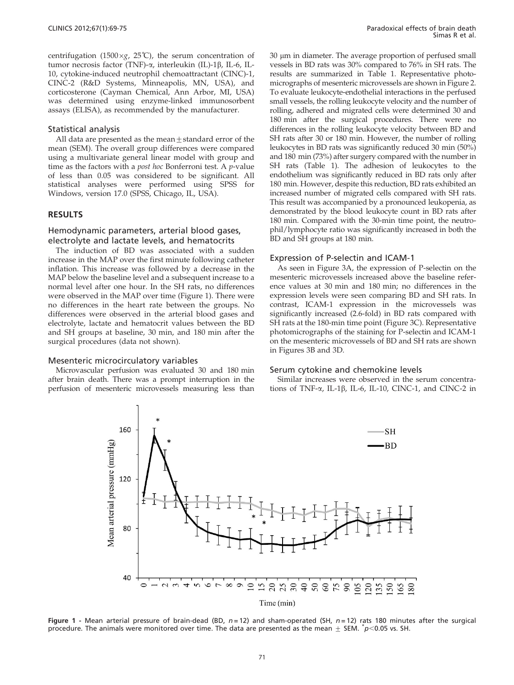centrifugation (1500 $\times g$ , 25°C), the serum concentration of tumor necrosis factor (TNF)-α, interleukin (IL)-1β, IL-6, IL-10, cytokine-induced neutrophil chemoattractant (CINC)-1, CINC-2 (R&D Systems, Minneapolis, MN, USA), and corticosterone (Cayman Chemical, Ann Arbor, MI, USA) was determined using enzyme-linked immunosorbent assays (ELISA), as recommended by the manufacturer.

#### Statistical analysis

All data are presented as the mean $+$ standard error of the mean (SEM). The overall group differences were compared using a multivariate general linear model with group and time as the factors with a *post hoc* Bonferroni test. A *p*-value of less than 0.05 was considered to be significant. All statistical analyses were performed using SPSS for Windows, version 17.0 (SPSS, Chicago, IL, USA).

#### RESULTS

## Hemodynamic parameters, arterial blood gases, electrolyte and lactate levels, and hematocrits

The induction of BD was associated with a sudden increase in the MAP over the first minute following catheter inflation. This increase was followed by a decrease in the MAP below the baseline level and a subsequent increase to a normal level after one hour. In the SH rats, no differences were observed in the MAP over time (Figure 1). There were no differences in the heart rate between the groups. No differences were observed in the arterial blood gases and electrolyte, lactate and hematocrit values between the BD and SH groups at baseline, 30 min, and 180 min after the surgical procedures (data not shown).

#### Mesenteric microcirculatory variables

Microvascular perfusion was evaluated 30 and 180 min after brain death. There was a prompt interruption in the perfusion of mesenteric microvessels measuring less than 30 µm i[n](#page-3-0) [diameter.](#page-3-0) [The](#page-3-0) [average](#page-3-0) [proportion](#page-3-0) [of](#page-3-0) [perfused](#page-3-0) [small](#page-3-0) vessels i[n BD rats was 30% compared to 76% in SH rats. The](#page-3-0) results [are](#page-3-0) [summarized](#page-3-0) [in](#page-3-0) [Table](#page-3-0) [1.](#page-3-0) [Representative](#page-3-0) [photo](#page-3-0)microgr[aphs of mesenteric microvessels are shown in Figure 2.](#page-3-0) To evalu[ate leukocyte-endothelial interactions in the perfused](#page-3-0) small ve[ssels,](#page-3-0) [the](#page-3-0) [rolling](#page-3-0) [leukocyte](#page-3-0) [velocity](#page-3-0) [and](#page-3-0) [the](#page-3-0) [number](#page-3-0) [of](#page-3-0) rolling, [adhered and migrated cells were determined 30 and](#page-3-0) 180 min [after the surgical procedures. There were no](#page-3-0) differen[ces in the rolling leukocyte velocity between BD and](#page-3-0) SH rats [after 30 or 180 min. However, the number of rolling](#page-3-0) leukocyt[es](#page-3-0) [in](#page-3-0) [BD](#page-3-0) [rats](#page-3-0) [was](#page-3-0) [significantly](#page-3-0) [reduced](#page-3-0) [30](#page-3-0) [min](#page-3-0) [\(50%\)](#page-3-0) and 180 [min \(73%\) after surgery compared with the number in](#page-3-0) SH rats [\(Table 1\). The adhesion of leukocytes to the](#page-3-0) endothel[ium](#page-3-0) [was](#page-3-0) [significantly](#page-3-0) [reduced](#page-3-0) [in](#page-3-0) [BD](#page-3-0) [rats](#page-3-0) [only](#page-3-0) [after](#page-3-0) 180 min. [However, despite this reduction, BD rats exhibited an](#page-3-0) increase[d](#page-3-0) [number](#page-3-0) [of](#page-3-0) [migrated](#page-3-0) [cells](#page-3-0) [compared](#page-3-0) [with](#page-3-0) [SH](#page-3-0) [rats.](#page-3-0) This res[ult was accompanied by a pronounced leukopenia, as](#page-3-0) demonst[rated by the blood leukocyte c](#page-3-0)ount in BD rats after 180 min. Compared with the 30-min time point, the neutrophil/lymphocyte ratio was significantly increased in both the BD and SH groups at [180 min.](#page-4-0)

#### Express[ion of P-selectin and ICAM-1](#page-4-0)

As se[en](#page-4-0) [in](#page-4-0) [Figure](#page-4-0) [3A,](#page-4-0) [the](#page-4-0) [expression](#page-4-0) [of](#page-4-0) [P-selectin](#page-4-0) [on](#page-4-0) [the](#page-4-0) mesente[ric microvessels increased above the baseline refer](#page-4-0)ence val[ues](#page-4-0) [at](#page-4-0) [30](#page-4-0) [min](#page-4-0) [and](#page-4-0) [180](#page-4-0) [min;](#page-4-0) [no](#page-4-0) [differences](#page-4-0) [in](#page-4-0) [the](#page-4-0) expressi[on levels were seen comparing BD and SH rats. In](#page-4-0) contrast, [ICAM-1 expression in the microvessels was](#page-4-0) significa[ntly](#page-4-0) [increased](#page-4-0) [\(2.6-fold\)](#page-4-0) [in](#page-4-0) [BD](#page-4-0) [rats](#page-4-0) [compared](#page-4-0) [with](#page-4-0) SH rats [at the 180-min time poi](#page-4-0)nt (Figure 3C). Representative photomicrographs of the staining for P-selectin and ICAM-1 on the mesenteric microvessels of BD and SH rats are shown in Figures 3B and 3D.

#### Serum cytokine and chemokine levels

Similar increases were observed in the serum concentrations of TNF-a, IL-1b, IL-6, IL-10, CINC-1, and CINC-2 in



Figure 1 - Mean arterial pressure of brain-dead (BD,  $n = 12$ ) and sham-operated (SH,  $n = 12$ ) rats 180 minutes after the surgical procedure. The animals were monitored over time. The data are presented as the mean  $\pm$  SEM.  $^*p$  <0.05 vs. SH.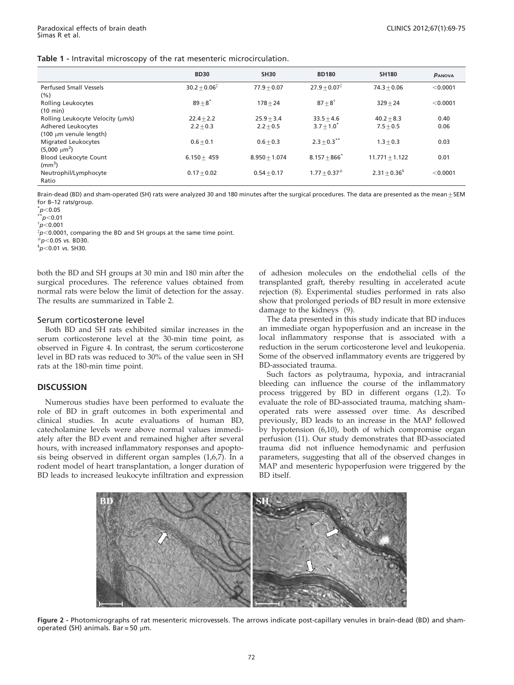<span id="page-3-0"></span>

|  |  |  |  |  | Table 1 - Intravital microscopy of the rat mesenteric microcirculation. |
|--|--|--|--|--|-------------------------------------------------------------------------|
|--|--|--|--|--|-------------------------------------------------------------------------|

|                                              | <b>BD30</b>                 | <b>SH30</b>     | <b>BD180</b>               | <b>SH180</b>     | PANOVA   |
|----------------------------------------------|-----------------------------|-----------------|----------------------------|------------------|----------|
| <b>Perfused Small Vessels</b><br>(%)         | $30.2 + 0.06^{\frac{1}{4}}$ | $77.9 + 0.07$   | $27.9 + 0.07$ <sup>*</sup> | $74.3 + 0.06$    | < 0.0001 |
| Rolling Leukocytes<br>$(10 \text{ min})$     | $89+8^{*}$                  | $178 + 24$      | $87 + 8^{\dagger}$         | $329 + 24$       | < 0.0001 |
| Rolling Leukocyte Velocity (um/s)            | $22.4 + 2.2$                | $25.9 + 3.4$    | $33.5 + 4.6$               | $40.2 + 8.3$     | 0.40     |
| <b>Adhered Leukocytes</b>                    | $2.2 + 0.3$                 | $2.2 + 0.5$     | $3.7 + 1.0^*$              | $7.5 + 0.5$      | 0.06     |
| (100 µm venule length)                       |                             |                 |                            |                  |          |
| Migrated Leukocytes                          | $0.6 + 0.1$                 | $0.6 + 0.3$     | $2.3 + 0.3$ <sup>**</sup>  | $1.3 + 0.3$      | 0.03     |
| $(5,000 \mu m^2)$                            |                             |                 |                            |                  |          |
| <b>Blood Leukocyte Count</b><br>$\rm (mm^3)$ | $6.150 + 459$               | $8.950 + 1.074$ | $8.157 + 866$              | $11.771 + 1.122$ | 0.01     |
| Neutrophil/Lymphocyte                        | $0.17 + 0.02$               | $0.54 + 0.17$   | $1.77 \pm 0.37^{\#}$       | $2.31 + 0.36^3$  | < 0.0001 |
| Ratio                                        |                             |                 |                            |                  |          |

Brain-dead (BD) and sham-operated (SH) rats were analyzed 30 and 180 minutes after the surgical procedures. The data are presented as the mean  $\pm$  SEM for 8–12 rats/group.

 $p<$ 0.05

 $^*p<$ 0.01

 $~^{\dagger}p$ <0.001

 $\sqrt[{\mathfrak{p}}$  <0.0001, comparing the BD and SH groups at the same time point.

 $h^{\#}$ n $<$ 0.05 vs. BD30.

 $5n<0.01$  vs. SH30.

both the BD and SH groups at 30 min a[nd](#page-4-0) [180](#page-4-0) [m](#page-4-0)in after the surgical procedures. The reference values obtained from normal rats were below the limit of detection for the assay. The results are summarized in Table 2.

## Serum corticoster[one level](#page-5-0)

Both [BD and SH rats exhibited similar increases in the](#page-5-0) serum c[orticosterone](#page-5-0) [level](#page-5-0) [at](#page-5-0) [the](#page-5-0) [30-](#page-5-0)min time point, as observed in Figure 4. In contrast, the serum corticosterone level in BD rats was reduced to 30% of the value seen in SH rats at the 180-min time point.

## **DISCUSSION**

Numerous studies have been performed to evaluate the role of BD in graft outcomes in both experimental and clinical studies. In acute evaluations of human BD, catecholamine levels were above normal values immediately aft[er](#page-6-0) [the](#page-6-0) [BD](#page-6-0) [event](#page-6-0) [and](#page-6-0) [remained](#page-6-0) [higher](#page-6-0) [after](#page-6-0) [several](#page-6-0) hours, [with increased inflammatory responses and apopto](#page-6-0)sis being observed in different organ samples (1,6,7). In a rodent model of heart transplantation, a longer duration of BD leads to increased leukocyte infiltration and expression

of adhe[sion](#page-6-0) [molecules](#page-6-0) [on](#page-6-0) [the](#page-6-0) [endothelial](#page-6-0) [cells](#page-6-0) [of](#page-6-0) [the](#page-6-0) transpla[nted graft, thereby resultin](#page-6-0)g in accelerated acute rejection (8). Experimental studies performed in rats also show that prolonged periods of BD result in more extensive damage to the kidneys (9).

The data presented in this study indicate that BD induces an immediate organ hypoperfusion and an increase in the local inflammatory response that is associated with a reduction in the serum corticosterone level and leukopenia. Some of the observed inflammatory events are triggered by BD-associated trauma.

Such [factors as polytrauma, hypoxia, and intracranial](#page-6-0) bleeding [can](#page-6-0) [influence](#page-6-0) [the](#page-6-0) [course](#page-6-0) [of](#page-6-0) [the](#page-6-0) [inflammatory](#page-6-0) process [triggered by BD in different organs \(1,2\). To](#page-6-0) evaluate [the role of BD-associated trauma, matching sham](#page-6-0)operate[d](#page-6-0) [rats](#page-6-0) [were](#page-6-0) [assessed](#page-6-0) [over](#page-6-0) [time.](#page-6-0) [As](#page-6-0) [described](#page-6-0) previou[sly, BD leads to an increase in the MAP followed](#page-6-0) [by h](#page-6-0)yp[otension \(6,10\), both of which compromise organ](#page-6-0) perfusio[n \(11\). Our study demonstrates that BD-associated](#page-6-0) trauma [did not](#page-6-0) influence hemodynamic and perfusion parameters, suggesting that all of the observed changes in MAP and mesenteric hypoperfusion were triggered by the BD itself.



Figure 2 - Photomicrographs of rat mesenteric microvessels. The arrows indicate post-capillary venules in brain-dead (BD) and shamoperated (SH) animals. Bar = 50  $\mu$ m.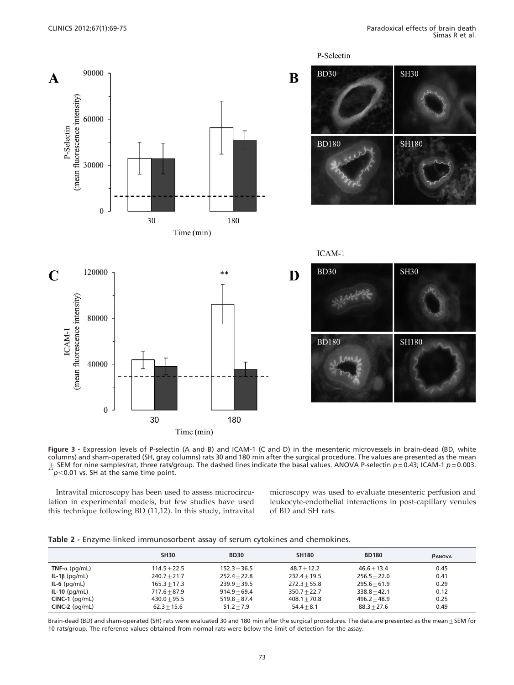<span id="page-4-0"></span>

Figure 3 - Expression levels of P-selectin (A and B) and ICAM-1 (C and D) in the mesenteric microvessels in brain-dead (BD, white columns) and sham-operated (SH, gray columns) rats 30 and 180 min after the surgical procedure. The values are presented as the mean  $\pm$  SEM for nine samples/rat, three rats/group. The dashed lines indicate the b[asal values. ANOVA P-selectin](#page-6-0) p = 0.43; ICAM-1 p = 0.003.<br>\*\*p<0.01 vs. SH at the same time point.

Intravital microscopy has been used to assess microcirculation in experimental models, but few studies have used this technique following BD (11,12). In this study, intravital

microscopy was used to evaluate mesenteric perfusion and leukocyte-endothelial interactions in post-capillary venules of BD and SH rats.

|                       | <b>SH30</b>    | <b>BD30</b>    | <b>SH180</b>   | <b>BD180</b>   | PANOVA |
|-----------------------|----------------|----------------|----------------|----------------|--------|
| TNF- $\alpha$ (pg/mL) | $114.5 + 22.5$ | $152.3 + 36.5$ | $48.7 + 12.2$  | $46.6 + 13.4$  | 0.45   |
| IL-1 $\beta$ (pg/mL)  | $240.7 + 21.7$ | $252.4 + 22.8$ | $232.4 + 19.5$ | $256.5 + 22.0$ | 0.41   |
| $IL-6$ (pg/mL)        | $165.3 + 17.3$ | $239.9 + 39.5$ | $272.3 + 55.8$ | $295.6 + 61.9$ | 0.29   |
| $IL-10$ (pg/mL)       | $717.6 + 87.9$ | $914.9 + 69.4$ | $350.7 + 22.7$ | $338.8 + 42.1$ | 0.12   |
| $CINC-1$ ( $pq/mL$ )  | $430.0 + 95.5$ | $519.8 + 87.4$ | $408.1 + 70.8$ | $496.2 + 48.9$ | 0.25   |
| $CINC-2$ (pg/mL)      | $62.3 + 15.6$  | $51.2 + 7.9$   | $54.4 + 8.1$   | $88.3 + 27.6$  | 0.49   |

Table 2 - Enzyme-linked immunosorbent assay of serum cytokines and chemokines.

Brain-dead (BD) and sham-operated (SH) rats were evaluated 30 and 180 min after the surgical procedures. The data are presented as the mean  $\pm$  SEM for 10 rats/group. The reference values obtained from normal rats were below the limit of detection for the assay.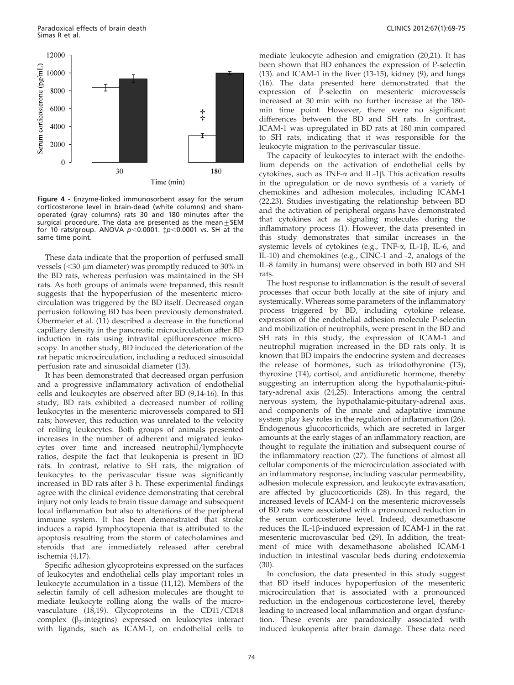<span id="page-5-0"></span>

Figure 4 - Enzyme-linked immunosorbent assay for the serum corticosterone level in brain-dead (white columns) and shamoperated (gray columns) rats 30 and 180 minutes after the surgical procedure. The data are presented as the mean  $+$  SEM for 10 rats/group. ANOVA  $p<0.0001$ .  $\sharp p<0.0001$  vs. SH at the same time point.

These data indicate that the proportion of perfused small vessels  $(<$ 30  $\mu$ m diameter) was promptly reduced to 30% in the BD rats, whereas perfusion was maintained in the SH rats. As both groups of animals were trepanned, this result suggests that the hypope[rfusion of the mesenteric micro](#page-6-0)circulati[on](#page-6-0) [was](#page-6-0) [triggered](#page-6-0) [by](#page-6-0) [the](#page-6-0) [BD](#page-6-0) [itself.](#page-6-0) [Decreased](#page-6-0) [organ](#page-6-0) perfusio[n following BD has been previously demonstrated.](#page-6-0) Obermei[er](#page-6-0) [et](#page-6-0) [al.](#page-6-0) [\(11\)](#page-6-0) [described](#page-6-0) [a](#page-6-0) [decrease](#page-6-0) [in](#page-6-0) [the](#page-6-0) [functional](#page-6-0) capillar[y density in the pancreatic microcirculation after BD](#page-6-0) inductio[n](#page-6-0) [in](#page-6-0) [rats](#page-6-0) [using](#page-6-0) [intravital](#page-6-0) [epifluorescence](#page-6-0) microscopy. In another study, BD induced the deterioration of the rat hepatic microcirculation, including a reduced sinusoidal perfusion rate and sinusoidal diameter (13).

It has [been](#page-6-0) [demonstrated](#page-6-0) [that](#page-6-0) [decreased](#page-6-0) [organ](#page-6-0) [perfusion](#page-6-0) and a p[rogressive](#page-6-0) [inflammatory](#page-6-0) [activation](#page-6-0) [of](#page-6-0) [endothelial](#page-6-0) cells an[d](#page-6-0) [leukocytes](#page-6-0) [are](#page-6-0) [observed](#page-6-0) [after](#page-6-0) [BD](#page-6-0) [\(9,14-16\).](#page-6-0) [In](#page-6-0) [this](#page-6-0) study, [BD rats exhibited a decreased number of rolling](#page-6-0) leukocyt[es](#page-6-0) [in](#page-6-0) [the](#page-6-0) [mesenteric](#page-6-0) [microvessels](#page-6-0) [compared](#page-6-0) [to](#page-6-0) [SH](#page-6-0) rats; ho[wever, this reduction was unrelated to the velocity](#page-6-0) of rollin[g](#page-6-0) [leukocytes.](#page-6-0) [Both](#page-6-0) [groups](#page-6-0) [of](#page-6-0) [animals](#page-6-0) [presented](#page-6-0) increase[s](#page-6-0) [in](#page-6-0) [the](#page-6-0) [number](#page-6-0) [of](#page-6-0) [adherent](#page-6-0) [and](#page-6-0) [migrated](#page-6-0) [leuko](#page-6-0)cytes o[ver](#page-6-0) [time](#page-6-0) [and](#page-6-0) [increased](#page-6-0) [neutrophil/lymphocyte](#page-6-0) ratios, [despite](#page-6-0) [the](#page-6-0) [fact](#page-6-0) [that](#page-6-0) [leukopenia](#page-6-0) [is](#page-6-0) [present](#page-6-0) [in](#page-6-0) [BD](#page-6-0) rats. In [contrast,](#page-6-0) [relative](#page-6-0) [to](#page-6-0) [SH](#page-6-0) [rats,](#page-6-0) [the](#page-6-0) [migration](#page-6-0) [of](#page-6-0) leukocyt[es](#page-6-0) [to](#page-6-0) [the](#page-6-0) [perivascular](#page-6-0) [tissue](#page-6-0) [was](#page-6-0) [significantly](#page-6-0) increase[d](#page-6-0) [in](#page-6-0) [BD](#page-6-0) [rats](#page-6-0) [after](#page-6-0) [3](#page-6-0) [h.](#page-6-0) [These](#page-6-0) [experimental](#page-6-0) [findings](#page-6-0) agree wi[th](#page-6-0) [the](#page-6-0) [clinical](#page-6-0) [evidence](#page-6-0) [demonstrating](#page-6-0) [that](#page-6-0) [cerebral](#page-6-0) injury n[ot only leads to brain tissue damage and subsequent](#page-6-0) local inf[lammation](#page-6-0) [but](#page-6-0) [also](#page-6-0) [to](#page-6-0) [alterations](#page-6-0) [of](#page-6-0) [the](#page-6-0) [peripheral](#page-6-0) immune [system. It has been demonstrated that stroke](#page-6-0) induces [a](#page-6-0) [rapid](#page-6-0) [lympho](#page-6-0)cytopenia that is attributed to the apoptosis resulting from the storm of catecholamines and steroids that are immediately released after cerebral ischemia (4,17).

Specif[ic](#page-6-0) [adhesion](#page-6-0) [glycoproteins](#page-6-0) [expressed](#page-6-0) [on](#page-6-0) [the](#page-6-0) [surfaces](#page-6-0) of leuko[cytes](#page-6-0) [and](#page-6-0) [endothelial](#page-6-0) [cells](#page-6-0) [play](#page-6-0) [important](#page-6-0) [roles](#page-6-0) [in](#page-6-0) leukocyt[e](#page-6-0) [accumulation](#page-6-0) [in](#page-6-0) [a](#page-6-0) [tissue](#page-6-0) [\(11,12\).](#page-6-0) [Members](#page-6-0) [of](#page-6-0) [the](#page-6-0) selectin [family of cell adhesion molecules are thought to](#page-6-0) mediate [leukocyte](#page-6-0) [rolling](#page-6-0) [along](#page-6-0) [the](#page-6-0) [walls](#page-6-0) [of](#page-6-0) [the](#page-6-0) [micro](#page-6-0)vasculature (18,19). Glycoproteins in the CD11/CD18 complex  $(\beta_2$ -integrins) expressed on leukocytes interact with ligands, such as ICAM-1, on endothelial cells to

mediate [leukocyte](#page-6-0) [adhesion](#page-6-0) [and](#page-6-0) [emigration](#page-6-0) [\(20,21\).](#page-6-0) [It](#page-6-0) [has](#page-6-0) been sh[own](#page-6-0) [that](#page-6-0) [BD](#page-6-0) [enhances](#page-6-0) [the](#page-6-0) [expression](#page-6-0) [of](#page-6-0) [P-selectin](#page-6-0) (13). an[d](#page-6-0) [ICAM-1](#page-6-0) [in](#page-6-0) [the](#page-6-0) [liver](#page-6-0) [\(13-15\),](#page-6-0) [kidney](#page-6-0) [\(9\),](#page-6-0) [and](#page-6-0) [lungs](#page-6-0) (16). T[he](#page-6-0) [data](#page-6-0) [presented](#page-6-0) [here](#page-6-0) [demonstrated](#page-6-0) [that](#page-6-0) [the](#page-6-0) expressi[on](#page-6-0) [of](#page-6-0) [P-selectin](#page-6-0) [on](#page-6-0) [mesenteric](#page-6-0) [microvessels](#page-6-0) increase[d at 30 min with no further increase at the 180](#page-6-0) min ti[me](#page-6-0) [point.](#page-6-0) [However,](#page-6-0) [there](#page-6-0) [were](#page-6-0) [no](#page-6-0) [significant](#page-6-0) differen[ces between the BD and SH rats. In cont](#page-6-0)rast, ICAM-1 was upregulated in BD rats at 180 min compared to SH rats, indicating that it was responsible for the leukocyte migration to the perivascular tissue.

The capacity of leukocytes to interact with the endothelium depends on the activation of endothelial cells by cytokines, such as TNF- $\alpha$  and IL-1 $\beta$ [.](#page-6-0) [This](#page-6-0) [activation](#page-6-0) [results](#page-6-0) in the u[pregulation or de novo synthesis of a variety of](#page-6-0) chemoki[nes](#page-6-0) [and](#page-6-0) [adhesion](#page-6-0) [molecules,](#page-6-0) [including](#page-6-0) [ICAM-1](#page-6-0) (22,23). [Studies investigating the relationship between BD](#page-6-0) and the [activation](#page-6-0) [of](#page-6-0) [peripheral](#page-6-0) [organs](#page-6-0) [have](#page-6-0) [demonstrated](#page-6-0) that cyt[okines act as signaling molecules during the](#page-6-0) inflamm[atory](#page-6-0) [process](#page-6-0) [\(1\).](#page-6-0) [However,](#page-6-0) [the](#page-6-0) [data](#page-6-0) [presented](#page-6-0) [in](#page-6-0) this stu[dy demonstrates that similar increases in the](#page-6-0) systemic [leve](#page-6-0)ls of cytokines (e.g., TNF- $\alpha$ , IL-1 $\beta$ , IL-6, and IL-10) and chemokines (e.g., CINC-1 and -2, analogs of the IL-8 family in humans) were observed in both BD and SH rats.

The host response to inflammation is the result of several processes that occur both locally at the site of injury and systemically. Whereas some parameters of the inflammatory process triggered by BD, including cytokine release, expression of the endothelial adhesion molecule P-selectin and mobilization of neutrophils, were present in the BD and SH rats in this study, the expression of ICAM-1 and neutrophil migration increased in the BD rats only. It is known that BD impairs the endocrine system and decreases [the](#page-6-0) release of hormones, [such](#page-6-0) [as](#page-6-0) [triiodothyronine](#page-6-0) [\(T3\),](#page-6-0) thyroxin[e \(T4\), cortisol, and antidiuretic hormone, thereby](#page-6-0) suggesti[ng](#page-6-0) [an](#page-6-0) [interruption](#page-6-0) [along](#page-6-0) [the](#page-6-0) [hypothalamic-pitui](#page-6-0)tary-adr[enal axis \(24,25\). Interactions among the central](#page-6-0) nervous [system,](#page-6-0) [the](#page-6-0) [hypothalamic-pituitary-adrenal](#page-6-0) [axis,](#page-6-0) and co[mponents](#page-6-0) [of](#page-6-0) [the](#page-6-0) [innate](#page-6-0) [and](#page-6-0) [adaptative](#page-6-0) [immune](#page-6-0) system [play](#page-6-0) [key](#page-6-0) [roles](#page-6-0) [in](#page-6-0) [the](#page-6-0) [regulation](#page-6-0) [of](#page-6-0) [inflammation](#page-6-0) [\(26\).](#page-6-0) Endoge[nous](#page-6-0) [glucocorticoids,](#page-6-0) [which](#page-6-0) [are](#page-6-0) [secreted](#page-6-0) [in](#page-6-0) [larger](#page-6-0) amount[s](#page-6-0) [at](#page-6-0) [the](#page-6-0) [early](#page-6-0) [stages](#page-6-0) [of](#page-6-0) [an](#page-6-0) [inflammatory](#page-6-0) [reaction,](#page-6-0) [are](#page-6-0) thought [to](#page-6-0) [regulate](#page-6-0) [the](#page-6-0) [initiation](#page-6-0) [and](#page-6-0) [subsequent](#page-6-0) [course](#page-6-0) [of](#page-6-0) the infla[mmatory](#page-6-0) [reaction](#page-6-0) [\(27\).](#page-6-0) [The](#page-6-0) [functions](#page-6-0) [of](#page-6-0) [almost](#page-6-0) [all](#page-6-0) cellular [components](#page-6-0) [of](#page-6-0) [the](#page-6-0) [microcirculation](#page-6-0) [associated](#page-6-0) [with](#page-6-0) an infla[mmatory response, including vascular permeability,](#page-6-0) adhesio[n](#page-6-0) [molecule](#page-6-0) [expression,](#page-6-0) [and](#page-6-0) [leukocyte](#page-6-0) [extravasation,](#page-6-0) are affe[cted by glucocorticoids \(28\). In this regard, the](#page-6-0) increase[d](#page-6-0) [levels](#page-6-0) [of](#page-6-0) [ICAM-1](#page-6-0) [on](#page-6-0) [the](#page-6-0) [mesenteric](#page-6-0) [microvessels](#page-6-0) of BD ra[ts were associated with a pronounced reduction in](#page-6-0) the ser[um](#page-6-0) [corticosterone](#page-6-0) [level.](#page-6-0) [Indeed,](#page-6-0) [dexamethasone](#page-6-0) reduces the IL-1 $\beta$ [-induced expression of ICAM-1 in the rat](#page-6-0) mesente[ric](#page-6-0) [m](#page-6-0)icrovascular bed (29). In addition, the treatment of mice with dexamethasone abolished ICAM-1 [indu](#page-6-0)ction in intestinal vascular beds during endotoxemia (30).

In conclusion, the data presented in this study suggest that BD itself induces hypoperfusion of the mesenteric microcirculation that is associated with a pronounced reduction in the endogenous corticosterone level, thereby leading to increased local inflammation and organ dysfunction. These events are paradoxically associated with induced leukopenia after brain damage. These data need